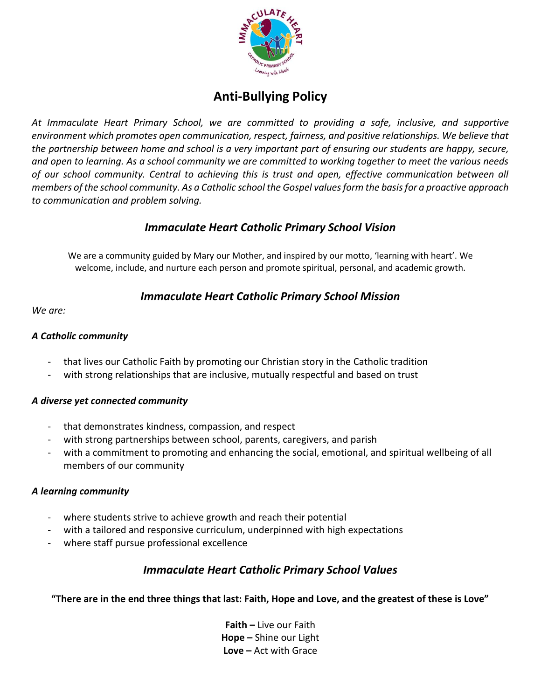

# **Anti-Bullying Policy**

*At Immaculate Heart Primary School, we are committed to providing a safe, inclusive, and supportive environment which promotes open communication, respect, fairness, and positive relationships. We believe that the partnership between home and school is a very important part of ensuring our students are happy, secure, and open to learning. As a school community we are committed to working together to meet the various needs of our school community. Central to achieving this is trust and open, effective communication between all members of the school community. As a Catholic school the Gospel values form the basis for a proactive approach to communication and problem solving.*

## *Immaculate Heart Catholic Primary School Vision*

We are a community guided by Mary our Mother, and inspired by our motto, 'learning with heart'. We welcome, include, and nurture each person and promote spiritual, personal, and academic growth.

## *Immaculate Heart Catholic Primary School Mission*

*We are:*

## *A Catholic community*

- that lives our Catholic Faith by promoting our Christian story in the Catholic tradition
- with strong relationships that are inclusive, mutually respectful and based on trust

## *A diverse yet connected community*

- that demonstrates kindness, compassion, and respect
- with strong partnerships between school, parents, caregivers, and parish
- with a commitment to promoting and enhancing the social, emotional, and spiritual wellbeing of all members of our community

## *A learning community*

- where students strive to achieve growth and reach their potential
- with a tailored and responsive curriculum, underpinned with high expectations
- where staff pursue professional excellence

# *Immaculate Heart Catholic Primary School Values*

**"There are in the end three things that last: Faith, Hope and Love, and the greatest of these is Love"**

**Faith –** Live our Faith **Hope –** Shine our Light **Love –** Act with Grace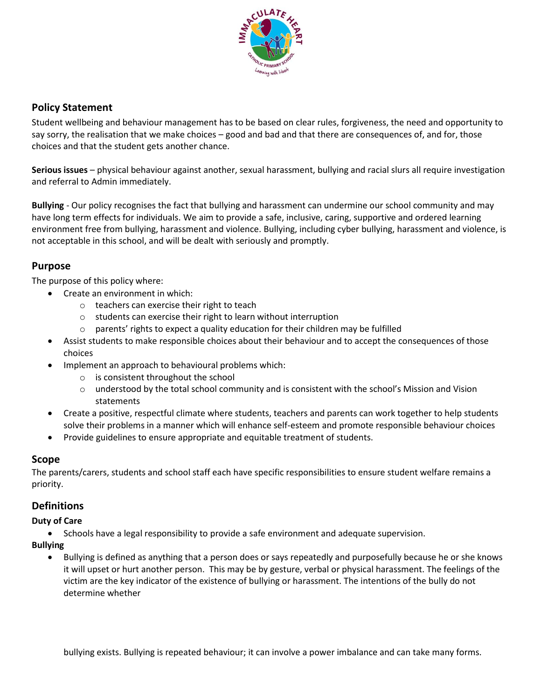

## **Policy Statement**

Student wellbeing and behaviour management has to be based on clear rules, forgiveness, the need and opportunity to say sorry, the realisation that we make choices – good and bad and that there are consequences of, and for, those choices and that the student gets another chance.

**Serious issues** – physical behaviour against another, sexual harassment, bullying and racial slurs all require investigation and referral to Admin immediately.

**Bullying** - Our policy recognises the fact that bullying and harassment can undermine our school community and may have long term effects for individuals. We aim to provide a safe, inclusive, caring, supportive and ordered learning environment free from bullying, harassment and violence. Bullying, including cyber bullying, harassment and violence, is not acceptable in this school, and will be dealt with seriously and promptly.

## **Purpose**

The purpose of this policy where:

- Create an environment in which:
	- o teachers can exercise their right to teach
	- o students can exercise their right to learn without interruption
	- o parents' rights to expect a quality education for their children may be fulfilled
- Assist students to make responsible choices about their behaviour and to accept the consequences of those choices
- Implement an approach to behavioural problems which:
	- o is consistent throughout the school
	- $\circ$  understood by the total school community and is consistent with the school's Mission and Vision statements
- Create a positive, respectful climate where students, teachers and parents can work together to help students solve their problems in a manner which will enhance self-esteem and promote responsible behaviour choices
- Provide guidelines to ensure appropriate and equitable treatment of students.

## **Scope**

The parents/carers, students and school staff each have specific responsibilities to ensure student welfare remains a priority.

## **Definitions**

#### **Duty of Care**

• Schools have a legal responsibility to provide a safe environment and adequate supervision.

**Bullying** 

• Bullying is defined as anything that a person does or says repeatedly and purposefully because he or she knows it will upset or hurt another person. This may be by gesture, verbal or physical harassment. The feelings of the victim are the key indicator of the existence of bullying or harassment. The intentions of the bully do not determine whether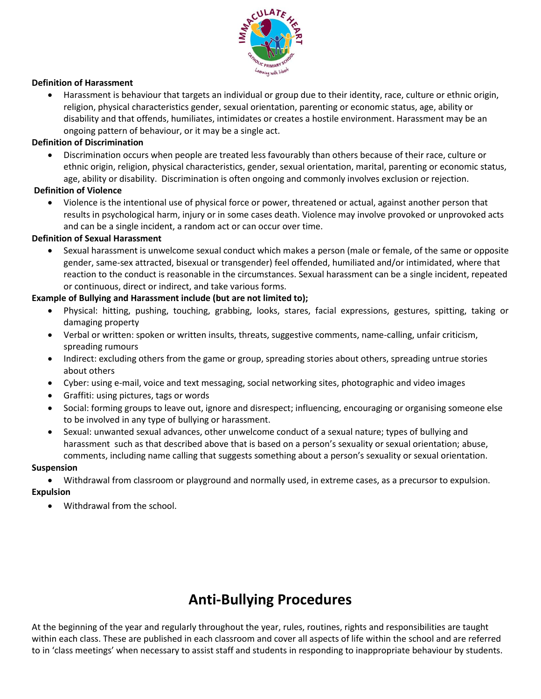

#### **Definition of Harassment**

• Harassment is behaviour that targets an individual or group due to their identity, race, culture or ethnic origin, religion, physical characteristics gender, sexual orientation, parenting or economic status, age, ability or disability and that offends, humiliates, intimidates or creates a hostile environment. Harassment may be an ongoing pattern of behaviour, or it may be a single act.

#### **Definition of Discrimination**

• Discrimination occurs when people are treated less favourably than others because of their race, culture or ethnic origin, religion, physical characteristics, gender, sexual orientation, marital, parenting or economic status, age, ability or disability. Discrimination is often ongoing and commonly involves exclusion or rejection.

#### **Definition of Violence**

• Violence is the intentional use of physical force or power, threatened or actual, against another person that results in psychological harm, injury or in some cases death. Violence may involve provoked or unprovoked acts and can be a single incident, a random act or can occur over time.

#### **Definition of Sexual Harassment**

• Sexual harassment is unwelcome sexual conduct which makes a person (male or female, of the same or opposite gender, same-sex attracted, bisexual or transgender) feel offended, humiliated and/or intimidated, where that reaction to the conduct is reasonable in the circumstances. Sexual harassment can be a single incident, repeated or continuous, direct or indirect, and take various forms.

#### **Example of Bullying and Harassment include (but are not limited to);**

- Physical: hitting, pushing, touching, grabbing, looks, stares, facial expressions, gestures, spitting, taking or damaging property
- Verbal or written: spoken or written insults, threats, suggestive comments, name-calling, unfair criticism, spreading rumours
- Indirect: excluding others from the game or group, spreading stories about others, spreading untrue stories about others
- Cyber: using e-mail, voice and text messaging, social networking sites, photographic and video images
- Graffiti: using pictures, tags or words
- Social: forming groups to leave out, ignore and disrespect; influencing, encouraging or organising someone else to be involved in any type of bullying or harassment.
- Sexual: unwanted sexual advances, other unwelcome conduct of a sexual nature; types of bullying and harassment such as that described above that is based on a person's sexuality or sexual orientation; abuse, comments, including name calling that suggests something about a person's sexuality or sexual orientation.

#### **Suspension**

• Withdrawal from classroom or playground and normally used, in extreme cases, as a precursor to expulsion.

#### **Expulsion**

• Withdrawal from the school.

# **Anti-Bullying Procedures**

At the beginning of the year and regularly throughout the year, rules, routines, rights and responsibilities are taught within each class. These are published in each classroom and cover all aspects of life within the school and are referred to in 'class meetings' when necessary to assist staff and students in responding to inappropriate behaviour by students.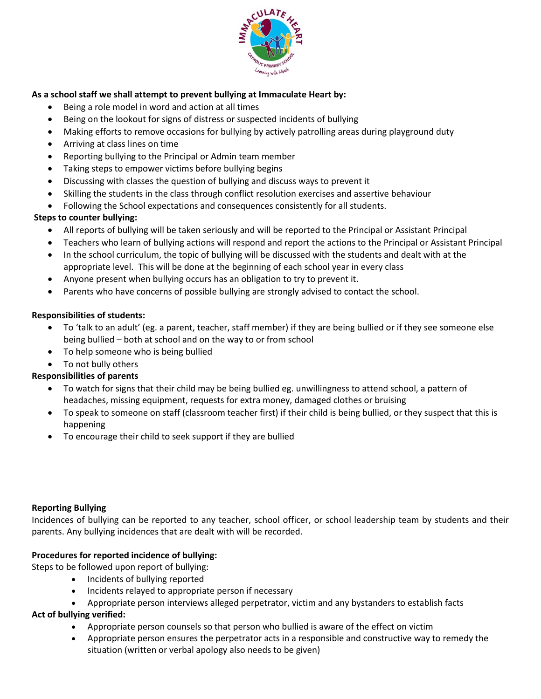

## **As a school staff we shall attempt to prevent bullying at Immaculate Heart by:**

- Being a role model in word and action at all times
- Being on the lookout for signs of distress or suspected incidents of bullying
- Making efforts to remove occasions for bullying by actively patrolling areas during playground duty
- Arriving at class lines on time
- Reporting bullying to the Principal or Admin team member
- Taking steps to empower victims before bullying begins
- Discussing with classes the question of bullying and discuss ways to prevent it
- Skilling the students in the class through conflict resolution exercises and assertive behaviour
- Following the School expectations and consequences consistently for all students.

### **Steps to counter bullying:**

- All reports of bullying will be taken seriously and will be reported to the Principal or Assistant Principal
- Teachers who learn of bullying actions will respond and report the actions to the Principal or Assistant Principal
- In the school curriculum, the topic of bullying will be discussed with the students and dealt with at the appropriate level. This will be done at the beginning of each school year in every class
- Anyone present when bullying occurs has an obligation to try to prevent it.
- Parents who have concerns of possible bullying are strongly advised to contact the school.

#### **Responsibilities of students:**

- To 'talk to an adult' (eg. a parent, teacher, staff member) if they are being bullied or if they see someone else being bullied – both at school and on the way to or from school
- To help someone who is being bullied
- To not bully others

#### **Responsibilities of parents**

- To watch for signs that their child may be being bullied eg. unwillingness to attend school, a pattern of headaches, missing equipment, requests for extra money, damaged clothes or bruising
- To speak to someone on staff (classroom teacher first) if their child is being bullied, or they suspect that this is happening
- To encourage their child to seek support if they are bullied

#### **Reporting Bullying**

Incidences of bullying can be reported to any teacher, school officer, or school leadership team by students and their parents. Any bullying incidences that are dealt with will be recorded.

#### **Procedures for reported incidence of bullying:**

Steps to be followed upon report of bullying:

- Incidents of bullying reported
- Incidents relayed to appropriate person if necessary
- Appropriate person interviews alleged perpetrator, victim and any bystanders to establish facts

#### **Act of bullying verified:**

- Appropriate person counsels so that person who bullied is aware of the effect on victim
- Appropriate person ensures the perpetrator acts in a responsible and constructive way to remedy the situation (written or verbal apology also needs to be given)